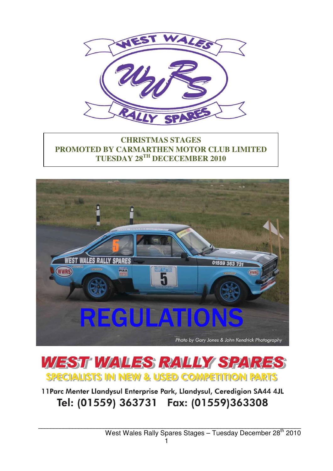

## **CHRISTMAS STAGES PROMOTED BY CARMARTHEN MOTOR CLUB LIMITED TUESDAY 28TH DECECEMBER 2010**





11 Parc Menter Llandysul Enterprise Park, Llandysul, Ceredigion SA44 4JL Tel: (01559) 363731 Fax: (01559)363308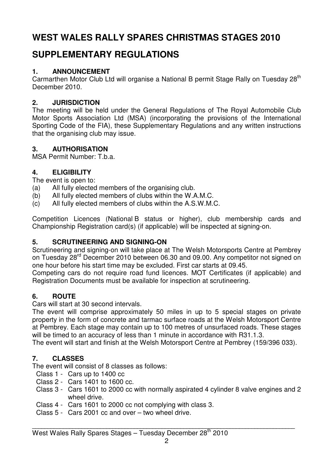# **WEST WALES RALLY SPARES CHRISTMAS STAGES 2010**

# **SUPPLEMENTARY REGULATIONS**

## **1. ANNOUNCEMENT**

Carmarthen Motor Club Ltd will organise a National B permit Stage Rally on Tuesday 28<sup>th</sup> December 2010.

## **2. JURISDICTION**

The meeting will be held under the General Regulations of The Royal Automobile Club Motor Sports Association Ltd (MSA) (incorporating the provisions of the International Sporting Code of the FIA), these Supplementary Regulations and any written instructions that the organising club may issue.

## **3. AUTHORISATION**

MSA Permit Number: T.b.a.

## **4. ELIGIBILITY**

The event is open to:

- (a) All fully elected members of the organising club.
- (b) All fully elected members of clubs within the W.A.M.C.
- (c) All fully elected members of clubs within the A.S.W.M.C.

Competition Licences (National B status or higher), club membership cards and Championship Registration card(s) (if applicable) will be inspected at signing-on.

## **5. SCRUTINEERING AND SIGNING-ON**

Scrutineering and signing-on will take place at The Welsh Motorsports Centre at Pembrey on Tuesday 28<sup>rd</sup> December 2010 between 06.30 and 09.00. Any competitor not signed on one hour before his start time may be excluded. First car starts at 09.45.

Competing cars do not require road fund licences. MOT Certificates (if applicable) and Registration Documents must be available for inspection at scrutineering.

## **6. ROUTE**

Cars will start at 30 second intervals.

The event will comprise approximately 50 miles in up to 5 special stages on private property in the form of concrete and tarmac surface roads at the Welsh Motorsport Centre at Pembrey. Each stage may contain up to 100 metres of unsurfaced roads. These stages will be timed to an accuracy of less than 1 minute in accordance with R31.1.3.

The event will start and finish at the Welsh Motorsport Centre at Pembrey (159/396 033).

## **7. CLASSES**

The event will consist of 8 classes as follows:

- Class 1 Cars up to 1400 cc
- Class 2 Cars 1401 to 1600 cc.
- Class 3 Cars 1601 to 2000 cc with normally aspirated 4 cylinder 8 valve engines and 2 wheel drive.
- Class 4 Cars 1601 to 2000 cc not complying with class 3.
- Class 5 Cars 2001 cc and over two wheel drive.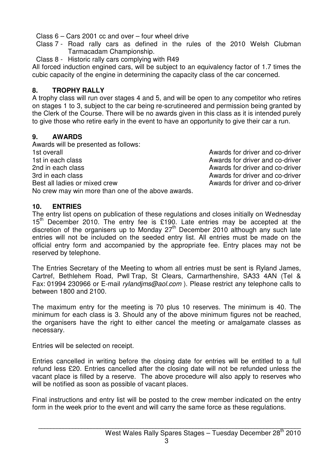Class 6 – Cars 2001 cc and over – four wheel drive

Class 7 - Road rally cars as defined in the rules of the 2010 Welsh Clubman Tarmacadam Championship.

Class 8 - Historic rally cars complying with R49

All forced induction engined cars, will be subject to an equivalency factor of 1.7 times the cubic capacity of the engine in determining the capacity class of the car concerned.

#### **8. TROPHY RALLY**

A trophy class will run over stages 4 and 5, and will be open to any competitor who retires on stages 1 to 3, subject to the car being re-scrutineered and permission being granted by the Clerk of the Course. There will be no awards given in this class as it is intended purely to give those who retire early in the event to have an opportunity to give their car a run.

#### **9. AWARDS**

Awards will be presented as follows: 1st overall Awards for driver and co-driver 1st in each class **Awards** for driver and co-driver 2nd in each class **Awards for driver and co-driver** 2nd in each class 3rd in each class Awards for driver and co-driver Best all ladies or mixed crew and co-driver and co-driver No crew may win more than one of the above awards.

## **10. ENTRIES**

The entry list opens on publication of these regulations and closes initially on Wednesday  $15<sup>th</sup>$  December 2010. The entry fee is £190. Late entries may be accepted at the discretion of the organisers up to Monday 27<sup>th</sup> December 2010 although any such late entries will not be included on the seeded entry list. All entries must be made on the official entry form and accompanied by the appropriate fee. Entry places may not be reserved by telephone.

The Entries Secretary of the Meeting to whom all entries must be sent is Ryland James, Cartref, Bethlehem Road, Pwll Trap, St Clears, Carmarthenshire, SA33 4AN (Tel & Fax: 01994 230966 or E-mail rylandims@aol.com). Please restrict any telephone calls to between 1800 and 2100.

The maximum entry for the meeting is 70 plus 10 reserves. The minimum is 40. The minimum for each class is 3. Should any of the above minimum figures not be reached, the organisers have the right to either cancel the meeting or amalgamate classes as necessary.

Entries will be selected on receipt.

Entries cancelled in writing before the closing date for entries will be entitled to a full refund less £20. Entries cancelled after the closing date will not be refunded unless the vacant place is filled by a reserve. The above procedure will also apply to reserves who will be notified as soon as possible of vacant places.

Final instructions and entry list will be posted to the crew member indicated on the entry form in the week prior to the event and will carry the same force as these regulations.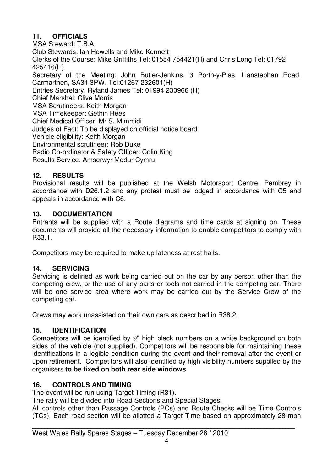## **11. OFFICIALS**

MSA Steward: T.B.A. Club Stewards: Ian Howells and Mike Kennett Clerks of the Course: Mike Griffiths Tel: 01554 754421(H) and Chris Long Tel: 01792 425416(H) Secretary of the Meeting: John Butler-Jenkins, 3 Porth-y-Plas, Llanstephan Road, Carmarthen, SA31 3PW. Tel:01267 232601(H) Entries Secretary: Ryland James Tel: 01994 230966 (H) Chief Marshal: Clive Morris MSA Scrutineers: Keith Morgan MSA Timekeeper: Gethin Rees Chief Medical Officer: Mr S. Mimmidi Judges of Fact: To be displayed on official notice board Vehicle eligibility: Keith Morgan Environmental scrutineer: Rob Duke Radio Co-ordinator & Safety Officer: Colin King Results Service: Amserwyr Modur Cymru

#### **12. RESULTS**

Provisional results will be published at the Welsh Motorsport Centre, Pembrey in accordance with D26.1.2 and any protest must be lodged in accordance with C5 and appeals in accordance with C6.

#### **13. DOCUMENTATION**

Entrants will be supplied with a Route diagrams and time cards at signing on. These documents will provide all the necessary information to enable competitors to comply with R33.1.

Competitors may be required to make up lateness at rest halts.

## **14. SERVICING**

Servicing is defined as work being carried out on the car by any person other than the competing crew, or the use of any parts or tools not carried in the competing car. There will be one service area where work may be carried out by the Service Crew of the competing car.

Crews may work unassisted on their own cars as described in R38.2.

#### **15. IDENTIFICATION**

Competitors will be identified by 9" high black numbers on a white background on both sides of the vehicle (not supplied). Competitors will be responsible for maintaining these identifications in a legible condition during the event and their removal after the event or upon retirement. Competitors will also identified by high visibility numbers supplied by the organisers **to be fixed on both rear side windows**.

#### **16. CONTROLS AND TIMING**

The event will be run using Target Timing (R31).

The rally will be divided into Road Sections and Special Stages.

All controls other than Passage Controls (PCs) and Route Checks will be Time Controls (TCs). Each road section will be allotted a Target Time based on approximately 28 mph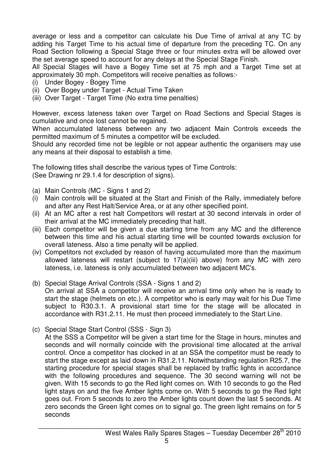average or less and a competitor can calculate his Due Time of arrival at any TC by adding his Target Time to his actual time of departure from the preceding TC. On any Road Section following a Special Stage three or four minutes extra will be allowed over the set average speed to account for any delays at the Special Stage Finish.

All Special Stages will have a Bogey Time set at 75 mph and a Target Time set at approximately 30 mph. Competitors will receive penalties as follows:-

- (i) Under Bogey Bogey Time
- (ii) Over Bogey under Target Actual Time Taken
- (iii) Over Target Target Time (No extra time penalties)

However, excess lateness taken over Target on Road Sections and Special Stages is cumulative and once lost cannot be regained.

When accumulated lateness between any two adjacent Main Controls exceeds the permitted maximum of 5 minutes a competitor will be excluded.

Should any recorded time not be legible or not appear authentic the organisers may use any means at their disposal to establish a time.

The following titles shall describe the various types of Time Controls: (See Drawing nr 29.1.4 for description of signs).

- (a) Main Controls (MC Signs 1 and 2)
- (i) Main controls will be situated at the Start and Finish of the Rally, immediately before and after any Rest Halt/Service Area, or at any other specified point.
- (ii) At an MC after a rest halt Competitors will restart at 30 second intervals in order of their arrival at the MC immediately preceding that halt.
- (iii) Each competitor will be given a due starting time from any MC and the difference between this time and his actual starting time will be counted towards exclusion for overall lateness. Also a time penalty will be applied.
- (iv) Competitors not excluded by reason of having accumulated more than the maximum allowed lateness will restart (subject to 17(a)(iii) above) from any MC with zero lateness, i.e. lateness is only accumulated between two adjacent MC's.
- (b) Special Stage Arrival Controls (SSA Signs 1 and 2) On arrival at SSA a competitor will receive an arrival time only when he is ready to start the stage (helmets on etc.). A competitor who is early may wait for his Due Time subject to R30.3.1. A provisional start time for the stage will be allocated in accordance with R31.2.11. He must then proceed immediately to the Start Line.
- (c) Special Stage Start Control (SSS Sign 3)

At the SSS a Competitor will be given a start time for the Stage in hours, minutes and seconds and will normally coincide with the provisional time allocated at the arrival control. Once a competitor has clocked in at an SSA the competitor must be ready to start the stage except as laid down in R31.2.11. Notwithstanding regulation R25.7, the starting procedure for special stages shall be replaced by traffic lights in accordance with the following procedures and sequence. The 30 second warning will not be given. With 15 seconds to go the Red light comes on. With 10 seconds to go the Red light stays on and the five Amber lights come on. With 5 seconds to go the Red light goes out. From 5 seconds to zero the Amber lights count down the last 5 seconds. At zero seconds the Green light comes on to signal go. The green light remains on for 5 seconds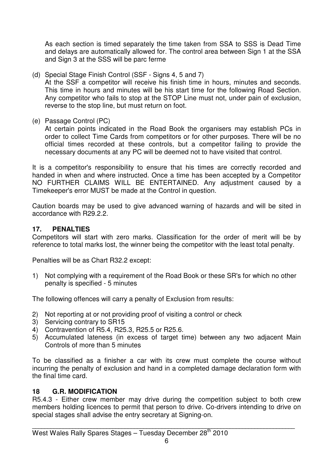As each section is timed separately the time taken from SSA to SSS is Dead Time and delays are automatically allowed for. The control area between Sign 1 at the SSA and Sign 3 at the SSS will be parc ferme

(d) Special Stage Finish Control (SSF - Signs 4, 5 and 7)

 At the SSF a competitor will receive his finish time in hours, minutes and seconds. This time in hours and minutes will be his start time for the following Road Section. Any competitor who fails to stop at the STOP Line must not, under pain of exclusion, reverse to the stop line, but must return on foot.

(e) Passage Control (PC)

 At certain points indicated in the Road Book the organisers may establish PCs in order to collect Time Cards from competitors or for other purposes. There will be no official times recorded at these controls, but a competitor failing to provide the necessary documents at any PC will be deemed not to have visited that control.

It is a competitor's responsibility to ensure that his times are correctly recorded and handed in when and where instructed. Once a time has been accepted by a Competitor NO FURTHER CLAIMS WILL BE ENTERTAINED. Any adjustment caused by a Timekeeper's error MUST be made at the Control in question.

Caution boards may be used to give advanced warning of hazards and will be sited in accordance with R29.2.2.

## **17. PENALTIES**

Competitors will start with zero marks. Classification for the order of merit will be by reference to total marks lost, the winner being the competitor with the least total penalty.

Penalties will be as Chart R32.2 except:

1) Not complying with a requirement of the Road Book or these SR's for which no other penalty is specified - 5 minutes

The following offences will carry a penalty of Exclusion from results:

- 2) Not reporting at or not providing proof of visiting a control or check
- 3) Servicing contrary to SR15
- 4) Contravention of R5.4, R25.3, R25.5 or R25.6.
- 5) Accumulated lateness (in excess of target time) between any two adjacent Main Controls of more than 5 minutes

To be classified as a finisher a car with its crew must complete the course without incurring the penalty of exclusion and hand in a completed damage declaration form with the final time card.

#### **18 G.R. MODIFICATION**

R5.4.3 - Either crew member may drive during the competition subject to both crew members holding licences to permit that person to drive. Co-drivers intending to drive on special stages shall advise the entry secretary at Signing-on.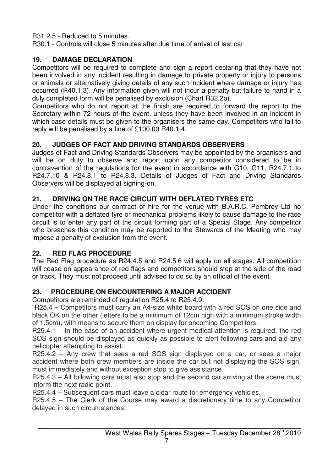R31.2.5 - Reduced to 5 minutes.

R30.1 - Controls will close 5 minutes after due time of arrival of last car

## **19. DAMAGE DECLARATION**

Competitors will be required to complete and sign a report declaring that they have not been involved in any incident resulting in damage to private property or injury to persons or animals or alternatively giving details of any such incident where damage or injury has occurred (R40.1.3). Any information given will not incur a penalty but failure to hand in a duly completed form will be penalised by exclusion (Chart R32.2p).

Competitors who do not report at the finish are required to forward the report to the Secretary within 72 hours of the event, unless they have been involved in an incident in which case details must be given to the organisers the same day. Competitors who fail to reply will be penalised by a fine of £100.00 R40.1.4.

## **20. JUDGES OF FACT AND DRIVING STANDARDS OBSERVERS**

Judges of Fact and Driving Standards Observers may be appointed by the organisers and will be on duty to observe and report upon any competitor considered to be in contravention of the regulations for the event in accordance with G10, G11, R24.7.1 to R24.7.10 & R24.8.1 to R24.8.3. Details of Judges of Fact and Driving Standards Observers will be displayed at signing-on.

## **21. DRIVING ON THE RACE CIRCUIT WITH DEFLATED TYRES ETC**

Under the conditions our contract of hire for the venue with B.A.R.C. Pembrey Ltd no competitor with a deflated tyre or mechanical problems likely to cause damage to the race circuit is to enter any part of the circuit forming part of a Special Stage. Any competitor who breaches this condition may be reported to the Stewards of the Meeting who may impose a penalty of exclusion from the event.

## **22. RED FLAG PROCEDURE**

The Red Flag procedure as R24.4.5 and R24.5.6 will apply on all stages. All competition will cease on appearance of red flags and competitors should stop at the side of the road or track. They must not proceed until advised to do so by an official of the event.

## **23. PROCEDURE ON ENCOUNTERING A MAJOR ACCIDENT**

Competitors are reminded of regulation R25.4 to R25.4.9:

"R25.4 – Competitors must carry an A4-size white board with a red SOS on one side and black OK on the other (letters to be a minimum of 12cm high with a minimum stroke width of 1.5cm), with means to secure them on display for oncoming Competitors.

R25.4.1 – In the case of an accident where urgent medical attention is required, the red SOS sign should be displayed as quickly as possible to alert following cars and aid any helicopter attempting to assist.

R25.4.2 – Any crew that sees a red SOS sign displayed on a car, or sees a major accident where both crew members are inside the car but not displaying the SOS sign, must immediately and without exception stop to give assistance.

R25.4.3 – All following cars must also stop and the second car arriving at the scene must inform the next radio point.

R25.4.4 – Subsequent cars must leave a clear route for emergency vehicles.

R25.4.5 – The Clerk of the Course may award a discretionary time to any Competitor delayed in such circumstances.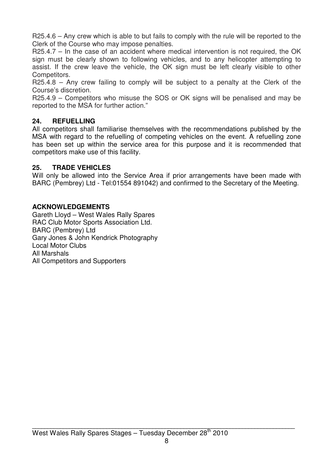R25.4.6 – Any crew which is able to but fails to comply with the rule will be reported to the Clerk of the Course who may impose penalties.

R25.4.7 – In the case of an accident where medical intervention is not required, the OK sign must be clearly shown to following vehicles, and to any helicopter attempting to assist. If the crew leave the vehicle, the OK sign must be left clearly visible to other Competitors.

R25.4.8 – Any crew failing to comply will be subject to a penalty at the Clerk of the Course's discretion.

R25.4.9 – Competitors who misuse the SOS or OK signs will be penalised and may be reported to the MSA for further action."

#### **24. REFUELLING**

All competitors shall familiarise themselves with the recommendations published by the MSA with regard to the refuelling of competing vehicles on the event. A refuelling zone has been set up within the service area for this purpose and it is recommended that competitors make use of this facility.

#### **25. TRADE VEHICLES**

Will only be allowed into the Service Area if prior arrangements have been made with BARC (Pembrey) Ltd - Tel:01554 891042) and confirmed to the Secretary of the Meeting.

#### **ACKNOWLEDGEMENTS**

Gareth Lloyd – West Wales Rally Spares RAC Club Motor Sports Association Ltd. BARC (Pembrey) Ltd Gary Jones & John Kendrick Photography Local Motor Clubs All Marshals All Competitors and Supporters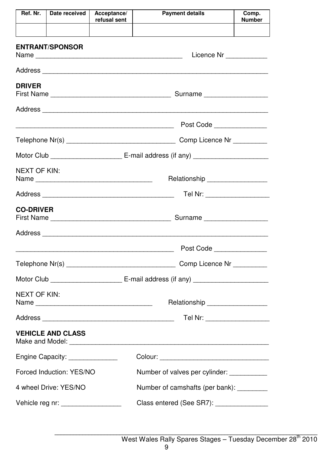| Ref. Nr.                                                | Date received                                                      | Acceptance/<br>refusal sent                | <b>Payment details</b>                   | Comp.<br><b>Number</b> |  |  |
|---------------------------------------------------------|--------------------------------------------------------------------|--------------------------------------------|------------------------------------------|------------------------|--|--|
|                                                         |                                                                    |                                            |                                          |                        |  |  |
| <b>ENTRANT/SPONSOR</b>                                  |                                                                    |                                            | Licence Nr ____________                  |                        |  |  |
|                                                         |                                                                    |                                            |                                          |                        |  |  |
| <b>DRIVER</b>                                           |                                                                    |                                            |                                          |                        |  |  |
|                                                         |                                                                    |                                            |                                          |                        |  |  |
|                                                         |                                                                    |                                            | Post Code _______________                |                        |  |  |
|                                                         |                                                                    |                                            |                                          |                        |  |  |
|                                                         |                                                                    |                                            |                                          |                        |  |  |
| <b>NEXT OF KIN:</b><br>Relationship ___________________ |                                                                    |                                            |                                          |                        |  |  |
|                                                         |                                                                    |                                            | Tel Nr: ____________________             |                        |  |  |
| <b>CO-DRIVER</b>                                        |                                                                    |                                            |                                          |                        |  |  |
|                                                         |                                                                    |                                            |                                          |                        |  |  |
|                                                         |                                                                    |                                            | Post Code                                |                        |  |  |
|                                                         |                                                                    |                                            | Comp Licence Nr __________               |                        |  |  |
|                                                         |                                                                    |                                            |                                          |                        |  |  |
| <b>NEXT OF KIN:</b>                                     |                                                                    |                                            | Relationship __________________          |                        |  |  |
|                                                         | Tel Nr: ___________________                                        |                                            |                                          |                        |  |  |
|                                                         | <b>VEHICLE AND CLASS</b>                                           |                                            |                                          |                        |  |  |
|                                                         | Engine Capacity: _______________                                   |                                            |                                          |                        |  |  |
|                                                         | Forced Induction: YES/NO                                           | Number of valves per cylinder: ___________ |                                          |                        |  |  |
|                                                         | 4 wheel Drive: YES/NO<br>Number of camshafts (per bank): _________ |                                            |                                          |                        |  |  |
| Vehicle reg nr: _________________                       |                                                                    |                                            | Class entered (See SR7): _______________ |                        |  |  |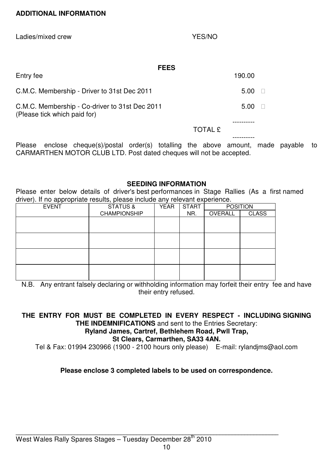#### **ADDITIONAL INFORMATION**

Ladies/mixed crew YES/NO

#### **FEES**

| Entry fee                                                                      |                | 190.00 |
|--------------------------------------------------------------------------------|----------------|--------|
| C.M.C. Membership - Driver to 31st Dec 2011                                    |                | 5.00   |
| C.M.C. Membership - Co-driver to 31st Dec 2011<br>(Please tick which paid for) |                | 5.00   |
|                                                                                | <b>TOTAL £</b> |        |
|                                                                                |                |        |

Please enclose cheque(s)/postal order(s) totalling the above amount, made payable to CARMARTHEN MOTOR CLUB LTD. Post dated cheques will not be accepted.

#### **SEEDING INFORMATION**

Please enter below details of driver's best performances in Stage Rallies (As a first named driver). If no appropriate results, please include any relevant experience.

| <b>EVENT</b> | <b>STATUS &amp;</b> | <b>YEAR</b> | <b>START</b> | <b>POSITION</b> |              |
|--------------|---------------------|-------------|--------------|-----------------|--------------|
|              | <b>CHAMPIONSHIP</b> |             | NR.          | OVERALL         | <b>CLASS</b> |
|              |                     |             |              |                 |              |
|              |                     |             |              |                 |              |
|              |                     |             |              |                 |              |
|              |                     |             |              |                 |              |
|              |                     |             |              |                 |              |
|              |                     |             |              |                 |              |
|              |                     |             |              |                 |              |
|              |                     |             |              |                 |              |

N.B. Any entrant falsely declaring or withholding information may forfeit their entry fee and have their entry refused.

## **THE ENTRY FOR MUST BE COMPLETED IN EVERY RESPECT - INCLUDING SIGNING THE INDEMNIFICATIONS** and sent to the Entries Secretary:

## **Ryland James, Cartref, Bethlehem Road, Pwll Trap,**

## **St Clears, Carmarthen, SA33 4AN.**

Tel & Fax: 01994 230966 (1900 - 2100 hours only please) E-mail: rylandjms@aol.com

#### **Please enclose 3 completed labels to be used on correspondence.**